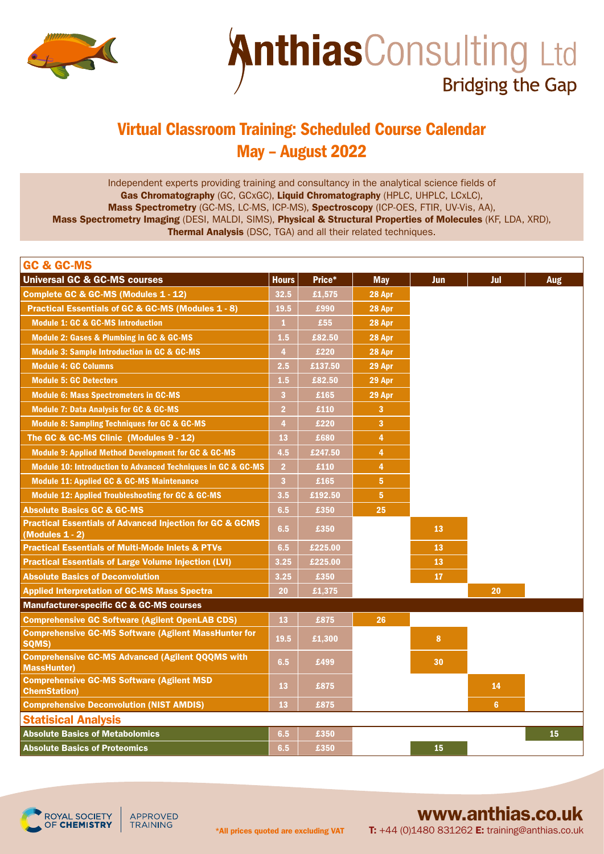

## **AnthiasConsulting Ltd Bridging the Gap**

## Virtual Classroom Training: Scheduled Course Calendar May – August 2022

Independent experts providing training and consultancy in the analytical science fields of Gas Chromatography (GC, GCxGC), Liquid Chromatography (HPLC, UHPLC, LCxLC), Mass Spectrometry (GC-MS, LC-MS, ICP-MS), Spectroscopy (ICP-OES, FTIR, UV-Vis, AA), Mass Spectrometry Imaging (DESI, MALDI, SIMS), Physical & Structural Properties of Molecules (KF, LDA, XRD), Thermal Analysis (DSC, TGA) and all their related techniques.

| <b>GC &amp; GC-MS</b>                                                                     |                |         |                |     |                |     |
|-------------------------------------------------------------------------------------------|----------------|---------|----------------|-----|----------------|-----|
| <b>Universal GC &amp; GC-MS courses</b>                                                   | <b>Hours</b>   | Price*  | <b>May</b>     | Jun | Jul            | Aug |
| Complete GC & GC-MS (Modules 1 - 12)                                                      | 32.5           | £1,575  | 28 Apr         |     |                |     |
| <b>Practical Essentials of GC &amp; GC-MS (Modules 1 - 8)</b>                             | 19.5           | £990    | 28 Apr         |     |                |     |
| <b>Module 1: GC &amp; GC-MS Introduction</b>                                              | $\mathbf{1}$   | £55     | 28 Apr         |     |                |     |
| <b>Module 2: Gases &amp; Plumbing in GC &amp; GC-MS</b>                                   | 1.5            | £82.50  | 28 Apr         |     |                |     |
| <b>Module 3: Sample Introduction in GC &amp; GC-MS</b>                                    | $\overline{4}$ | £220    | 28 Apr         |     |                |     |
| <b>Module 4: GC Columns</b>                                                               | 2.5            | £137.50 | 29 Apr         |     |                |     |
| <b>Module 5: GC Detectors</b>                                                             | 1.5            | £82.50  | 29 Apr         |     |                |     |
| <b>Module 6: Mass Spectrometers in GC-MS</b>                                              | 3 <sup>1</sup> | £165    | 29 Apr         |     |                |     |
| <b>Module 7: Data Analysis for GC &amp; GC-MS</b>                                         | $\overline{2}$ | £110    | 3              |     |                |     |
| <b>Module 8: Sampling Techniques for GC &amp; GC-MS</b>                                   | $\overline{4}$ | £220    | 3              |     |                |     |
| The GC & GC-MS Clinic (Modules 9 - 12)                                                    | 13             | £680    | 4              |     |                |     |
| Module 9: Applied Method Development for GC & GC-MS                                       | 4.5            | £247.50 | 4              |     |                |     |
| <b>Module 10: Introduction to Advanced Techniques in GC &amp; GC-MS</b>                   | $\overline{2}$ | £110    | 4              |     |                |     |
| <b>Module 11: Applied GC &amp; GC-MS Maintenance</b>                                      | 3 <sup>1</sup> | £165    | 5 <sup>5</sup> |     |                |     |
| <b>Module 12: Applied Troubleshooting for GC &amp; GC-MS</b>                              | 3.5            | £192.50 | 5 <sup>5</sup> |     |                |     |
| <b>Absolute Basics GC &amp; GC-MS</b>                                                     | 6.5            | £350    | 25             |     |                |     |
| <b>Practical Essentials of Advanced Injection for GC &amp; GCMS</b><br>(Modules $1 - 2$ ) | 6.5            | £350    |                | 13  |                |     |
| <b>Practical Essentials of Multi-Mode Inlets &amp; PTVs</b>                               | 6.5            | £225.00 |                | 13  |                |     |
| <b>Practical Essentials of Large Volume Injection (LVI)</b>                               | 3.25           | £225.00 |                | 13  |                |     |
| <b>Absolute Basics of Deconvolution</b>                                                   | 3.25           | £350    |                | 17  |                |     |
| <b>Applied Interpretation of GC-MS Mass Spectra</b>                                       | 20             | £1,375  |                |     | 20             |     |
| <b>Manufacturer-specific GC &amp; GC-MS courses</b>                                       |                |         |                |     |                |     |
| <b>Comprehensive GC Software (Agilent OpenLAB CDS)</b>                                    | 13             | £875    | 26             |     |                |     |
| <b>Comprehensive GC-MS Software (Agilent MassHunter for</b><br>SQMS)                      | 19.5           | £1,300  |                | 8   |                |     |
| <b>Comprehensive GC-MS Advanced (Agilent QQQMS with</b><br><b>MassHunter)</b>             | 6.5            | £499    |                | 30  |                |     |
| <b>Comprehensive GC-MS Software (Agilent MSD</b><br><b>ChemStation)</b>                   | 13             | £875    |                |     | 14             |     |
| <b>Comprehensive Deconvolution (NIST AMDIS)</b>                                           | 13             | £875    |                |     | 6 <sup>1</sup> |     |
| <b>Statisical Analysis</b>                                                                |                |         |                |     |                |     |
| <b>Absolute Basics of Metabolomics</b>                                                    | 6.5            | £350    |                |     |                | 15  |
| <b>Absolute Basics of Proteomics</b>                                                      | 6.5            | £350    |                | 15  |                |     |



APPROVED **TRAINING** 

## [www.anthias.co.uk](https://www.anthias.co.uk/)

T: +44 (0)1480 831262 E: training@anthias.co.uk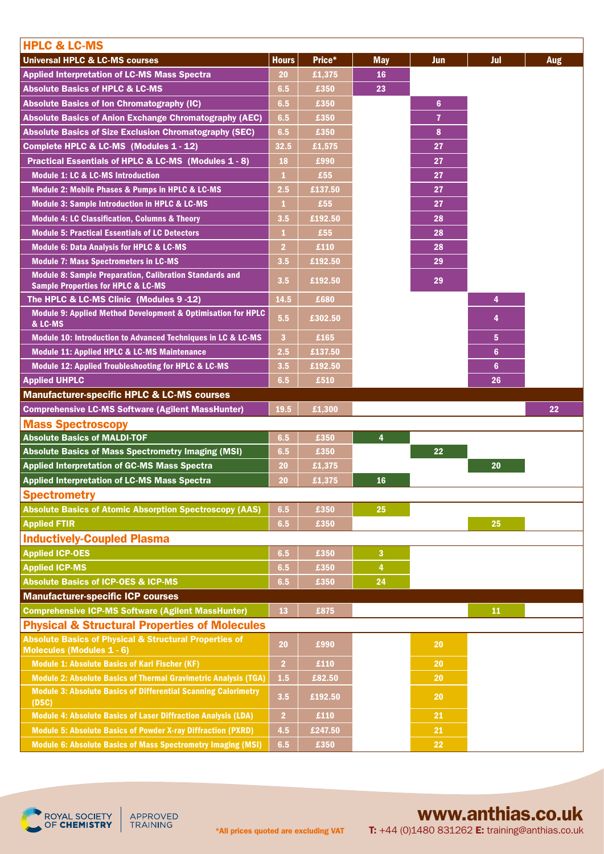| <b>HPLC &amp; LC-MS</b>                                                                                                                    |                         |                 |            |                |                 |            |
|--------------------------------------------------------------------------------------------------------------------------------------------|-------------------------|-----------------|------------|----------------|-----------------|------------|
| <b>Universal HPLC &amp; LC-MS courses</b>                                                                                                  | <b>Hours</b>            | Price*          | <b>May</b> | <b>Jun</b>     | Jul             | <b>Aug</b> |
| <b>Applied Interpretation of LC-MS Mass Spectra</b>                                                                                        | 20                      | £1,375          | 16         |                |                 |            |
| <b>Absolute Basics of HPLC &amp; LC-MS</b>                                                                                                 | 6.5                     | £350            | 23         |                |                 |            |
| Absolute Basics of Ion Chromatography (IC)                                                                                                 | 6.5                     | £350            |            | $6\phantom{1}$ |                 |            |
| Absolute Basics of Anion Exchange Chromatography (AEC)                                                                                     | 6.5                     | £350            |            | $\overline{7}$ |                 |            |
| Absolute Basics of Size Exclusion Chromatography (SEC)                                                                                     | 6.5                     | £350            |            | 8              |                 |            |
| Complete HPLC & LC-MS (Modules 1 - 12)                                                                                                     | 32.5                    | £1,575          |            | 27             |                 |            |
| Practical Essentials of HPLC & LC-MS (Modules 1 - 8)                                                                                       | 18                      | £990            |            | 27             |                 |            |
| <b>Module 1: LC &amp; LC-MS Introduction</b>                                                                                               | $\mathbf{1}$            | £55             |            | 27             |                 |            |
| <b>Module 2: Mobile Phases &amp; Pumps in HPLC &amp; LC-MS</b>                                                                             | 2.5                     | £137.50         |            | 27             |                 |            |
| <b>Module 3: Sample Introduction in HPLC &amp; LC-MS</b>                                                                                   | 1                       | £55             |            | 27             |                 |            |
| <b>Module 4: LC Classification, Columns &amp; Theory</b>                                                                                   | 3.5                     | £192.50         |            | 28             |                 |            |
| <b>Module 5: Practical Essentials of LC Detectors</b>                                                                                      | 1                       | £55             |            | 28             |                 |            |
| <b>Module 6: Data Analysis for HPLC &amp; LC-MS</b>                                                                                        | $\overline{2}$          | £110            |            | 28             |                 |            |
| <b>Module 7: Mass Spectrometers in LC-MS</b>                                                                                               | 3.5                     | £192.50         |            | 29             |                 |            |
| <b>Module 8: Sample Preparation, Calibration Standards and</b><br><b>Sample Properties for HPLC &amp; LC-MS</b>                            | 3.5                     | £192.50         |            | 29             |                 |            |
| The HPLC & LC-MS Clinic (Modules 9 -12)                                                                                                    | 14.5                    | £680            |            |                | 4               |            |
| Module 9: Applied Method Development & Optimisation for HPLC<br>& LC-MS                                                                    | 5.5                     | £302.50         |            |                | 4               |            |
| Module 10: Introduction to Advanced Techniques in LC & LC-MS                                                                               | $\overline{\mathbf{3}}$ | £165            |            |                | $5\phantom{.0}$ |            |
| <b>Module 11: Applied HPLC &amp; LC-MS Maintenance</b>                                                                                     | 2.5                     | £137.50         |            |                | $6\phantom{a}$  |            |
| <b>Module 12: Applied Troubleshooting for HPLC &amp; LC-MS</b>                                                                             | 3.5                     | £192.50         |            |                | $6\phantom{1}$  |            |
| <b>Applied UHPLC</b>                                                                                                                       | 6.5                     | £510            |            |                | 26              |            |
|                                                                                                                                            |                         |                 |            |                |                 |            |
| <b>Manufacturer-specific HPLC &amp; LC-MS courses</b>                                                                                      |                         |                 |            |                |                 |            |
| <b>Comprehensive LC-MS Software (Agilent MassHunter)</b>                                                                                   | 19.5                    | £1,300          |            |                |                 | 22         |
| <b>Mass Spectroscopy</b>                                                                                                                   |                         |                 |            |                |                 |            |
| <b>Absolute Basics of MALDI-TOF</b>                                                                                                        | 6.5                     | £350            | 4          |                |                 |            |
| Absolute Basics of Mass Spectrometry Imaging (MSI)                                                                                         | 6.5                     | £350            |            | 22             |                 |            |
| <b>Applied Interpretation of GC-MS Mass Spectra</b>                                                                                        | 20                      | £1,375          |            |                | 20              |            |
| <b>Applied Interpretation of LC-MS Mass Spectra</b>                                                                                        | 20                      | £1,375          | 16         |                |                 |            |
| <b>Spectrometry</b>                                                                                                                        |                         |                 |            |                |                 |            |
| <b>Absolute Basics of Atomic Absorption Spectroscopy (AAS)</b>                                                                             | 6.5                     | £350            | 25         |                |                 |            |
| <b>Applied FTIR</b>                                                                                                                        | 6.5                     | £350            |            |                | 25              |            |
| <b>Inductively-Coupled Plasma</b>                                                                                                          |                         |                 |            |                |                 |            |
| <b>Applied ICP-OES</b>                                                                                                                     | 6.5                     | £350            | 3          |                |                 |            |
| <b>Applied ICP-MS</b>                                                                                                                      | 6.5                     | £350            | 4          |                |                 |            |
| <b>Absolute Basics of ICP-OES &amp; ICP-MS</b>                                                                                             | 6.5                     | £350            | 24         |                |                 |            |
| <b>Manufacturer-specific ICP courses</b>                                                                                                   |                         |                 |            |                |                 |            |
| <b>Comprehensive ICP-MS Software (Agilent MassHunter)</b>                                                                                  | 13                      | £875            |            |                | 11              |            |
| <b>Physical &amp; Structural Properties of Molecules</b>                                                                                   |                         |                 |            |                |                 |            |
| Absolute Basics of Physical & Structural Properties of<br><b>Molecules (Modules 1 - 6)</b>                                                 | 20                      | £990            |            | <b>20</b>      |                 |            |
| <b>Module 1: Absolute Basics of Karl Fischer (KF)</b>                                                                                      | $\overline{2}$          | £110            |            | 20             |                 |            |
| Module 2: Absolute Basics of Thermal Gravimetric Analysis (TGA)                                                                            | 1.5                     | £82.50          |            | 20             |                 |            |
| <b>Module 3: Absolute Basics of Differential Scanning Calorimetry</b><br>(DSC)                                                             | 3.5                     | £192.50         |            | 20             |                 |            |
| <b>Module 4: Absolute Basics of Laser Diffraction Analysis (LDA)</b>                                                                       | 2 <sup>1</sup>          | £110            |            | 21             |                 |            |
| <b>Module 5: Absolute Basics of Powder X-ray Diffraction (PXRD)</b><br><b>Module 6: Absolute Basics of Mass Spectrometry Imaging (MSI)</b> | 4.5<br>6.5              | £247.50<br>£350 |            | 21<br>22       |                 |            |



APPROVED<br>TRAINING

## [www.anthias.co.uk](https://www.anthias.co.uk/)

T: +44 (0)1480 831262 E: training@anthias.co.uk